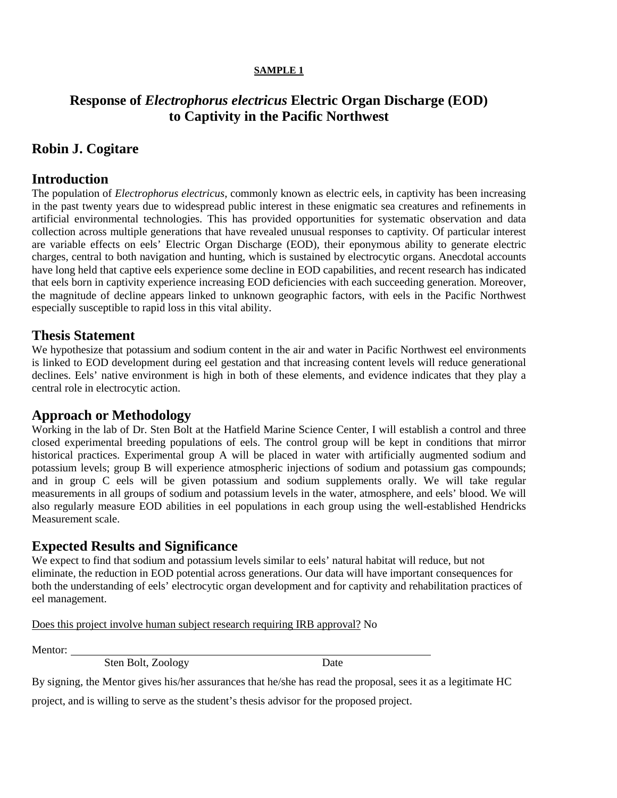#### **SAMPLE 1**

# **Response of** *Electrophorus electricus* **Electric Organ Discharge (EOD) to Captivity in the Pacific Northwest**

# **Robin J. Cogitare**

### **Introduction**

The population of *Electrophorus electricus*, commonly known as electric eels, in captivity has been increasing in the past twenty years due to widespread public interest in these enigmatic sea creatures and refinements in artificial environmental technologies. This has provided opportunities for systematic observation and data collection across multiple generations that have revealed unusual responses to captivity. Of particular interest are variable effects on eels' Electric Organ Discharge (EOD), their eponymous ability to generate electric charges, central to both navigation and hunting, which is sustained by electrocytic organs. Anecdotal accounts have long held that captive eels experience some decline in EOD capabilities, and recent research has indicated that eels born in captivity experience increasing EOD deficiencies with each succeeding generation. Moreover, the magnitude of decline appears linked to unknown geographic factors, with eels in the Pacific Northwest especially susceptible to rapid loss in this vital ability.

### **Thesis Statement**

We hypothesize that potassium and sodium content in the air and water in Pacific Northwest eel environments is linked to EOD development during eel gestation and that increasing content levels will reduce generational declines. Eels' native environment is high in both of these elements, and evidence indicates that they play a central role in electrocytic action.

#### **Approach or Methodology**

Working in the lab of Dr. Sten Bolt at the Hatfield Marine Science Center, I will establish a control and three closed experimental breeding populations of eels. The control group will be kept in conditions that mirror historical practices. Experimental group A will be placed in water with artificially augmented sodium and potassium levels; group B will experience atmospheric injections of sodium and potassium gas compounds; and in group C eels will be given potassium and sodium supplements orally. We will take regular measurements in all groups of sodium and potassium levels in the water, atmosphere, and eels' blood. We will also regularly measure EOD abilities in eel populations in each group using the well-established Hendricks Measurement scale.

### **Expected Results and Significance**

We expect to find that sodium and potassium levels similar to eels' natural habitat will reduce, but not eliminate, the reduction in EOD potential across generations. Our data will have important consequences for both the understanding of eels' electrocytic organ development and for captivity and rehabilitation practices of eel management.

Does this project involve human subject research requiring IRB approval? No

Mentor:

Sten Bolt, Zoology Date

By signing, the Mentor gives his/her assurances that he/she has read the proposal, sees it as a legitimate HC project, and is willing to serve as the student's thesis advisor for the proposed project.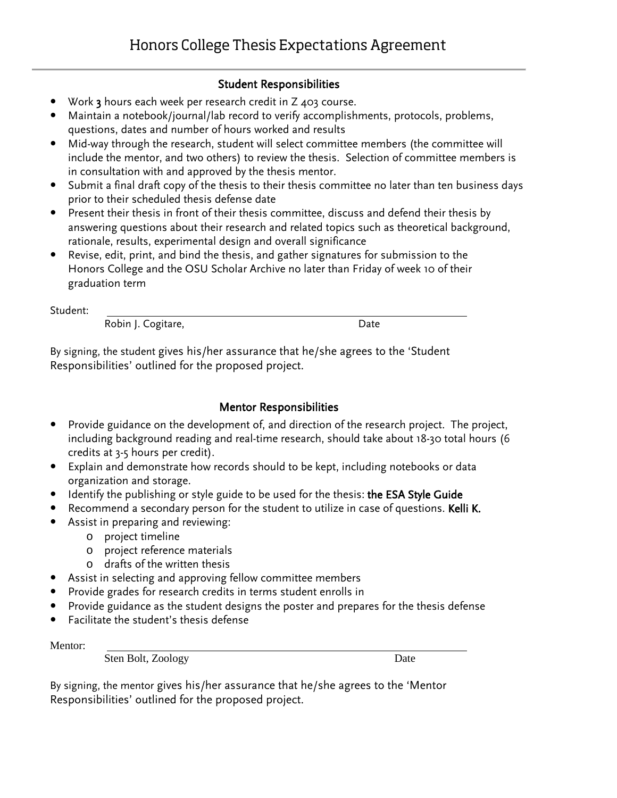### Student Responsibilities

- Work 3 hours each week per research credit in Z 403 course.
- Maintain a notebook/journal/lab record to verify accomplishments, protocols, problems, questions, dates and number of hours worked and results
- Mid-way through the research, student will select committee members (the committee will include the mentor, and two others) to review the thesis. Selection of committee members is in consultation with and approved by the thesis mentor.
- Submit a final draft copy of the thesis to their thesis committee no later than ten business days prior to their scheduled thesis defense date
- Present their thesis in front of their thesis committee, discuss and defend their thesis by answering questions about their research and related topics such as theoretical background, rationale, results, experimental design and overall significance
- Revise, edit, print, and bind the thesis, and gather signatures for submission to the Honors College and the OSU Scholar Archive no later than Friday of week 10 of their graduation term

Student:

Robin J. Cogitare, Nobin J. Cogitare, N. 2008. 2014

By signing, the student gives his/her assurance that he/she agrees to the 'Student Responsibilities' outlined for the proposed project.

# Mentor Responsibilities

- Provide guidance on the development of, and direction of the research project. The project, including background reading and real-time research, should take about 18-30 total hours (6 credits at 3-5 hours per credit).
- Explain and demonstrate how records should to be kept, including notebooks or data organization and storage.
- Identify the publishing or style guide to be used for the thesis: the ESA Style Guide
- Recommend a secondary person for the student to utilize in case of questions. Kelli K.
- Assist in preparing and reviewing:
	- o project timeline
	- o project reference materials
	- o drafts of the written thesis
- Assist in selecting and approving fellow committee members
- Provide grades for research credits in terms student enrolls in
- Provide guidance as the student designs the poster and prepares for the thesis defense
- Facilitate the student's thesis defense

Mentor:

Sten Bolt, Zoology Date

By signing, the mentor gives his/her assurance that he/she agrees to the 'Mentor Responsibilities' outlined for the proposed project.